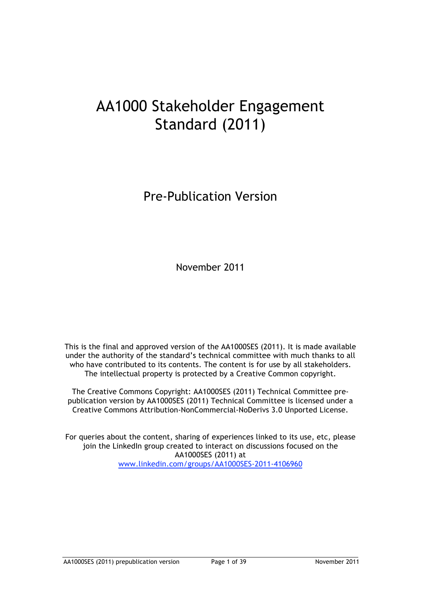# AA1000 Stakeholder Engagement Standard (2011)

Pre-Publication Version

November 2011

This is the final and approved version of the AA1000SES (2011). It is made available under the authority of the standard's technical committee with much thanks to all who have contributed to its contents. The content is for use by all stakeholders. The intellectual property is protected by a Creative Common copyright.

The Creative Commons Copyright: AA1000SES (2011) Technical Committee prepublication version by AA1000SES (2011) Technical Committee is licensed under a Creative Commons Attribution-NonCommercial-NoDerivs 3.0 Unported License.

For queries about the content, sharing of experiences linked to its use, etc, please join the LinkedIn group created to interact on discussions focused on the AA1000SES (2011) at www.linkedin.com/groups/AA1000SES-2011-4106960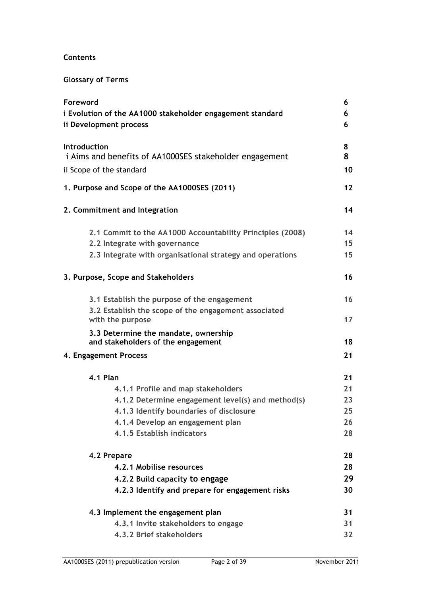# **Contents**

# **Glossary of Terms**

| Foreword                                                  | 6               |  |  |
|-----------------------------------------------------------|-----------------|--|--|
| i Evolution of the AA1000 stakeholder engagement standard |                 |  |  |
| ii Development process                                    |                 |  |  |
| Introduction                                              | 8               |  |  |
| i Aims and benefits of AA1000SES stakeholder engagement   | 8               |  |  |
| ii Scope of the standard                                  |                 |  |  |
| 1. Purpose and Scope of the AA1000SES (2011)              | $12 \ \mathrm{$ |  |  |
| 2. Commitment and Integration                             | 14              |  |  |
| 2.1 Commit to the AA1000 Accountability Principles (2008) | 14              |  |  |
| 2.2 Integrate with governance                             | 15 <sub>1</sub> |  |  |
| 2.3 Integrate with organisational strategy and operations | 15              |  |  |
| 3. Purpose, Scope and Stakeholders                        | 16              |  |  |
| 3.1 Establish the purpose of the engagement               | 16              |  |  |
| 3.2 Establish the scope of the engagement associated      |                 |  |  |
| with the purpose                                          | 17              |  |  |
| 3.3 Determine the mandate, ownership                      |                 |  |  |
| and stakeholders of the engagement                        | 18              |  |  |
| 4. Engagement Process                                     | 21              |  |  |
| <b>4.1 Plan</b>                                           | 21              |  |  |
| 4.1.1 Profile and map stakeholders                        | 21              |  |  |
| 4.1.2 Determine engagement level(s) and method(s)         | 23              |  |  |
| 4.1.3 Identify boundaries of disclosure                   | 25              |  |  |
| 4.1.4 Develop an engagement plan                          | 26              |  |  |
| 4.1.5 Establish indicators                                | 28              |  |  |
| 4.2 Prepare                                               | 28              |  |  |
| 4.2.1 Mobilise resources                                  | 28              |  |  |
| 4.2.2 Build capacity to engage                            | 29              |  |  |
| 4.2.3 Identify and prepare for engagement risks           | 30              |  |  |
| 4.3 Implement the engagement plan                         | 31              |  |  |
| 4.3.1 Invite stakeholders to engage                       | 31              |  |  |
| 4.3.2 Brief stakeholders                                  | 32              |  |  |
|                                                           |                 |  |  |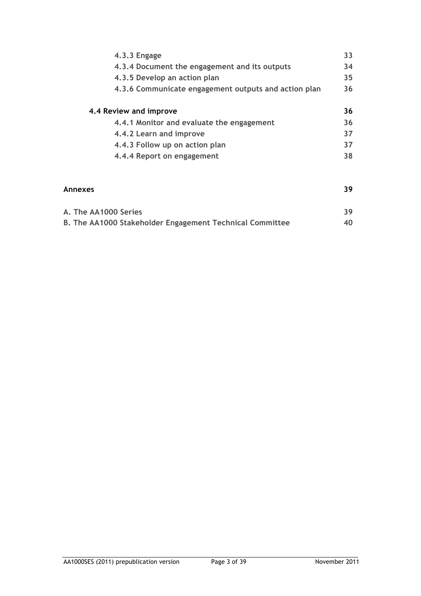|         | $4.3.3$ Engage                                       | 33 |
|---------|------------------------------------------------------|----|
|         | 4.3.4 Document the engagement and its outputs        | 34 |
|         | 4.3.5 Develop an action plan                         | 35 |
|         | 4.3.6 Communicate engagement outputs and action plan | 36 |
|         | 4.4 Review and improve                               | 36 |
|         | 4.4.1 Monitor and evaluate the engagement            | 36 |
|         | 4.4.2 Learn and improve                              | 37 |
|         | 4.4.3 Follow up on action plan                       | 37 |
|         | 4.4.4 Report on engagement                           | 38 |
|         |                                                      |    |
| Annexes |                                                      | 39 |
|         |                                                      |    |

| A. The AA1000 Series |                                                          |    |
|----------------------|----------------------------------------------------------|----|
|                      | B. The AA1000 Stakeholder Engagement Technical Committee | 40 |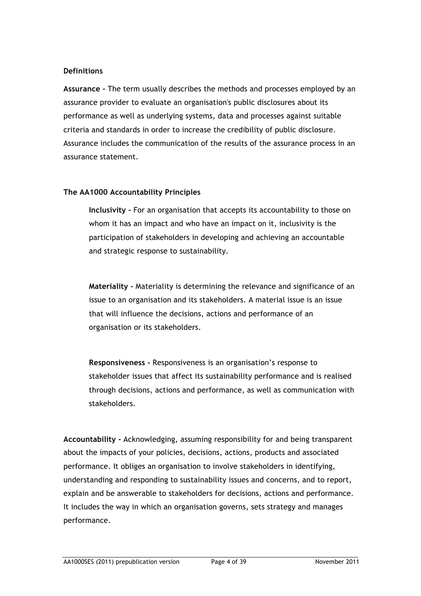#### **Definitions**

**Assurance -** The term usually describes the methods and processes employed by an assurance provider to evaluate an organisation's public disclosures about its performance as well as underlying systems, data and processes against suitable criteria and standards in order to increase the credibility of public disclosure. Assurance includes the communication of the results of the assurance process in an assurance statement.

#### **The AA1000 Accountability Principles**

**Inclusivity -** For an organisation that accepts its accountability to those on whom it has an impact and who have an impact on it, inclusivity is the participation of stakeholders in developing and achieving an accountable and strategic response to sustainability.

**Materiality -** Materiality is determining the relevance and significance of an issue to an organisation and its stakeholders. A material issue is an issue that will influence the decisions, actions and performance of an organisation or its stakeholders.

**Responsiveness -** Responsiveness is an organisation's response to stakeholder issues that affect its sustainability performance and is realised through decisions, actions and performance, as well as communication with stakeholders.

**Accountability -** Acknowledging, assuming responsibility for and being transparent about the impacts of your policies, decisions, actions, products and associated performance. It obliges an organisation to involve stakeholders in identifying, understanding and responding to sustainability issues and concerns, and to report, explain and be answerable to stakeholders for decisions, actions and performance. It includes the way in which an organisation governs, sets strategy and manages performance.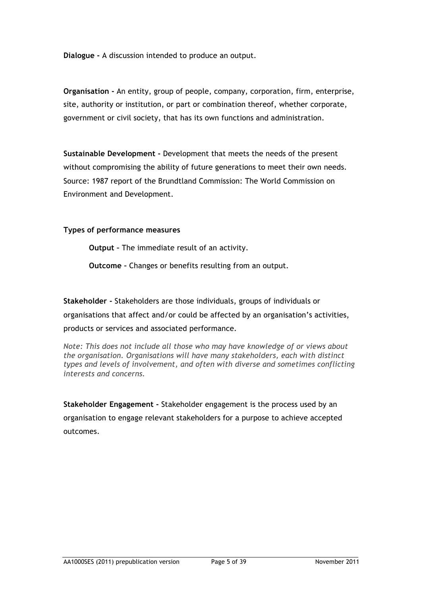**Dialogue -** A discussion intended to produce an output.

**Organisation -** An entity, group of people, company, corporation, firm, enterprise, site, authority or institution, or part or combination thereof, whether corporate, government or civil society, that has its own functions and administration.

**Sustainable Development -** Development that meets the needs of the present without compromising the ability of future generations to meet their own needs. Source: 1987 report of the Brundtland Commission: The World Commission on Environment and Development.

**Types of performance measures**

**Output –** The immediate result of an activity.

**Outcome –** Changes or benefits resulting from an output.

**Stakeholder -** Stakeholders are those individuals, groups of individuals or organisations that affect and/or could be affected by an organisation's activities, products or services and associated performance.

*Note: This does not include all those who may have knowledge of or views about the organisation. Organisations will have many stakeholders, each with distinct types and levels of involvement, and often with diverse and sometimes conflicting interests and concerns.*

**Stakeholder Engagement -** Stakeholder engagement is the process used by an organisation to engage relevant stakeholders for a purpose to achieve accepted outcomes.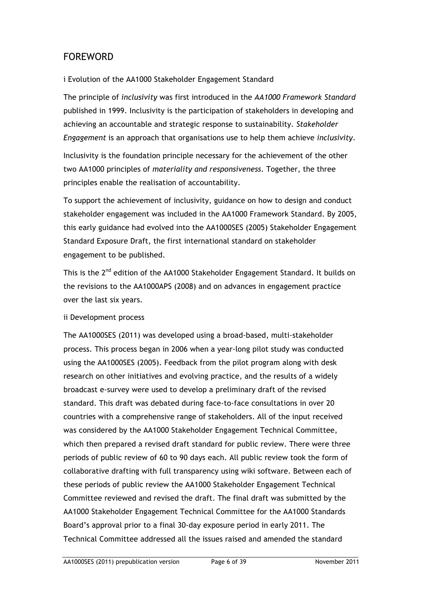# FOREWORD

# i Evolution of the AA1000 Stakeholder Engagement Standard

The principle of *inclusivity* was first introduced in the *AA1000 Framework Standard* published in 1999. Inclusivity is the participation of stakeholders in developing and achieving an accountable and strategic response to sustainability. *Stakeholder Engagement* is an approach that organisations use to help them achieve *inclusivity*.

Inclusivity is the foundation principle necessary for the achievement of the other two AA1000 principles of *materiality and responsiveness*. Together, the three principles enable the realisation of accountability.

To support the achievement of inclusivity, guidance on how to design and conduct stakeholder engagement was included in the AA1000 Framework Standard. By 2005, this early guidance had evolved into the AA1000SES (2005) Stakeholder Engagement Standard Exposure Draft, the first international standard on stakeholder engagement to be published.

This is the 2<sup>nd</sup> edition of the AA1000 Stakeholder Engagement Standard. It builds on the revisions to the AA1000APS (2008) and on advances in engagement practice over the last six years.

# ii Development process

The AA1000SES (2011) was developed using a broad-based, multi-stakeholder process. This process began in 2006 when a year-long pilot study was conducted using the AA1000SES (2005). Feedback from the pilot program along with desk research on other initiatives and evolving practice, and the results of a widely broadcast e-survey were used to develop a preliminary draft of the revised standard. This draft was debated during face-to-face consultations in over 20 countries with a comprehensive range of stakeholders. All of the input received was considered by the AA1000 Stakeholder Engagement Technical Committee, which then prepared a revised draft standard for public review. There were three periods of public review of 60 to 90 days each. All public review took the form of collaborative drafting with full transparency using wiki software. Between each of these periods of public review the AA1000 Stakeholder Engagement Technical Committee reviewed and revised the draft. The final draft was submitted by the AA1000 Stakeholder Engagement Technical Committee for the AA1000 Standards Board's approval prior to a final 30-day exposure period in early 2011. The Technical Committee addressed all the issues raised and amended the standard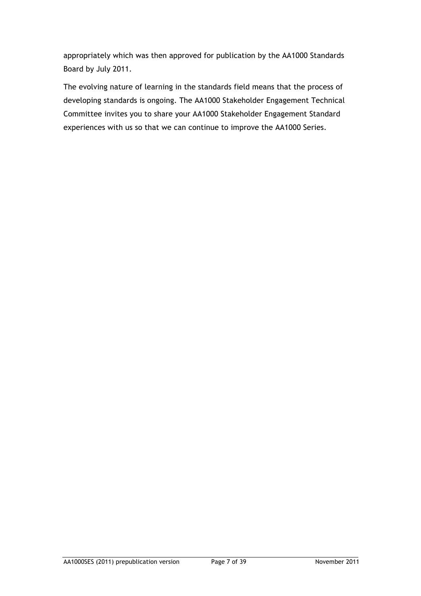appropriately which was then approved for publication by the AA1000 Standards Board by July 2011.

The evolving nature of learning in the standards field means that the process of developing standards is ongoing. The AA1000 Stakeholder Engagement Technical Committee invites you to share your AA1000 Stakeholder Engagement Standard experiences with us so that we can continue to improve the AA1000 Series.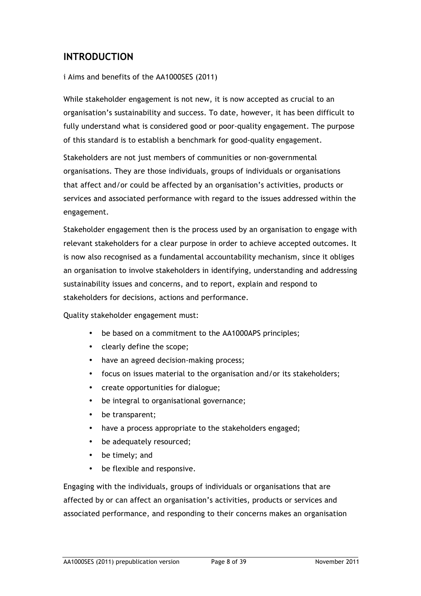# **INTRODUCTION**

#### i Aims and benefits of the AA1000SES (2011)

While stakeholder engagement is not new, it is now accepted as crucial to an organisation's sustainability and success. To date, however, it has been difficult to fully understand what is considered good or poor-quality engagement. The purpose of this standard is to establish a benchmark for good-quality engagement.

Stakeholders are not just members of communities or non-governmental organisations. They are those individuals, groups of individuals or organisations that affect and/or could be affected by an organisation's activities, products or services and associated performance with regard to the issues addressed within the engagement.

Stakeholder engagement then is the process used by an organisation to engage with relevant stakeholders for a clear purpose in order to achieve accepted outcomes. It is now also recognised as a fundamental accountability mechanism, since it obliges an organisation to involve stakeholders in identifying, understanding and addressing sustainability issues and concerns, and to report, explain and respond to stakeholders for decisions, actions and performance.

Quality stakeholder engagement must:

- be based on a commitment to the AA1000APS principles;
- clearly define the scope;
- have an agreed decision-making process;
- focus on issues material to the organisation and/or its stakeholders;
- create opportunities for dialogue;
- be integral to organisational governance;
- be transparent;
- have a process appropriate to the stakeholders engaged;
- be adequately resourced;
- be timely; and
- be flexible and responsive.

Engaging with the individuals, groups of individuals or organisations that are affected by or can affect an organisation's activities, products or services and associated performance, and responding to their concerns makes an organisation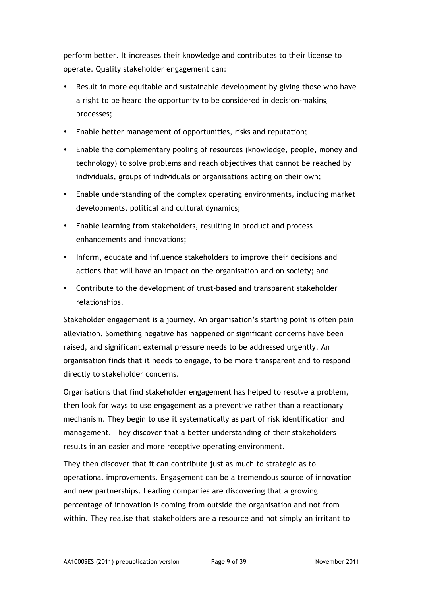perform better. It increases their knowledge and contributes to their license to operate. Quality stakeholder engagement can:

- Result in more equitable and sustainable development by giving those who have a right to be heard the opportunity to be considered in decision-making processes;
- Enable better management of opportunities, risks and reputation;
- Enable the complementary pooling of resources (knowledge, people, money and technology) to solve problems and reach objectives that cannot be reached by individuals, groups of individuals or organisations acting on their own;
- Enable understanding of the complex operating environments, including market developments, political and cultural dynamics;
- Enable learning from stakeholders, resulting in product and process enhancements and innovations;
- Inform, educate and influence stakeholders to improve their decisions and actions that will have an impact on the organisation and on society; and
- Contribute to the development of trust-based and transparent stakeholder relationships.

Stakeholder engagement is a journey. An organisation's starting point is often pain alleviation. Something negative has happened or significant concerns have been raised, and significant external pressure needs to be addressed urgently. An organisation finds that it needs to engage, to be more transparent and to respond directly to stakeholder concerns.

Organisations that find stakeholder engagement has helped to resolve a problem, then look for ways to use engagement as a preventive rather than a reactionary mechanism. They begin to use it systematically as part of risk identification and management. They discover that a better understanding of their stakeholders results in an easier and more receptive operating environment.

They then discover that it can contribute just as much to strategic as to operational improvements. Engagement can be a tremendous source of innovation and new partnerships. Leading companies are discovering that a growing percentage of innovation is coming from outside the organisation and not from within. They realise that stakeholders are a resource and not simply an irritant to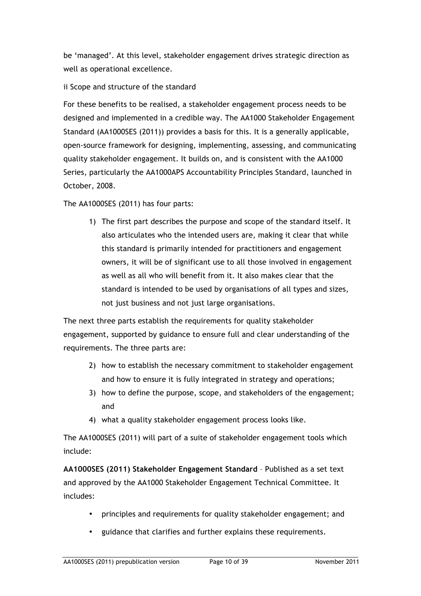be 'managed'. At this level, stakeholder engagement drives strategic direction as well as operational excellence.

ii Scope and structure of the standard

For these benefits to be realised, a stakeholder engagement process needs to be designed and implemented in a credible way. The AA1000 Stakeholder Engagement Standard (AA1000SES (2011)) provides a basis for this. It is a generally applicable, open-source framework for designing, implementing, assessing, and communicating quality stakeholder engagement. It builds on, and is consistent with the AA1000 Series, particularly the AA1000APS Accountability Principles Standard, launched in October, 2008.

The AA1000SES (2011) has four parts:

1) The first part describes the purpose and scope of the standard itself. It also articulates who the intended users are, making it clear that while this standard is primarily intended for practitioners and engagement owners, it will be of significant use to all those involved in engagement as well as all who will benefit from it. It also makes clear that the standard is intended to be used by organisations of all types and sizes, not just business and not just large organisations.

The next three parts establish the requirements for quality stakeholder engagement, supported by guidance to ensure full and clear understanding of the requirements. The three parts are:

- 2) how to establish the necessary commitment to stakeholder engagement and how to ensure it is fully integrated in strategy and operations;
- 3) how to define the purpose, scope, and stakeholders of the engagement; and
- 4) what a quality stakeholder engagement process looks like.

The AA1000SES (2011) will part of a suite of stakeholder engagement tools which include:

**AA1000SES (2011) Stakeholder Engagement Standard** – Published as a set text and approved by the AA1000 Stakeholder Engagement Technical Committee. It includes:

- principles and requirements for quality stakeholder engagement; and
- guidance that clarifies and further explains these requirements.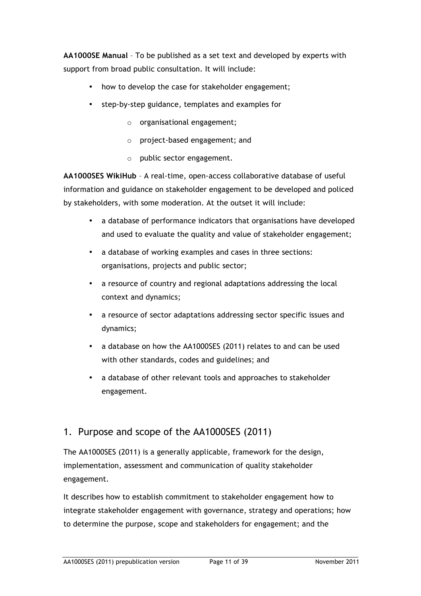**AA1000SE Manual** – To be published as a set text and developed by experts with support from broad public consultation. It will include:

- how to develop the case for stakeholder engagement;
- step-by-step guidance, templates and examples for
	- o organisational engagement;
	- o project-based engagement; and
	- o public sector engagement.

**AA1000SES WikiHub** – A real-time, open-access collaborative database of useful information and guidance on stakeholder engagement to be developed and policed by stakeholders, with some moderation. At the outset it will include:

- a database of performance indicators that organisations have developed and used to evaluate the quality and value of stakeholder engagement;
- a database of working examples and cases in three sections: organisations, projects and public sector;
- a resource of country and regional adaptations addressing the local context and dynamics;
- a resource of sector adaptations addressing sector specific issues and dynamics;
- a database on how the AA1000SES (2011) relates to and can be used with other standards, codes and guidelines; and
- a database of other relevant tools and approaches to stakeholder engagement.

# 1. Purpose and scope of the AA1000SES (2011)

The AA1000SES (2011) is a generally applicable, framework for the design, implementation, assessment and communication of quality stakeholder engagement.

It describes how to establish commitment to stakeholder engagement how to integrate stakeholder engagement with governance, strategy and operations; how to determine the purpose, scope and stakeholders for engagement; and the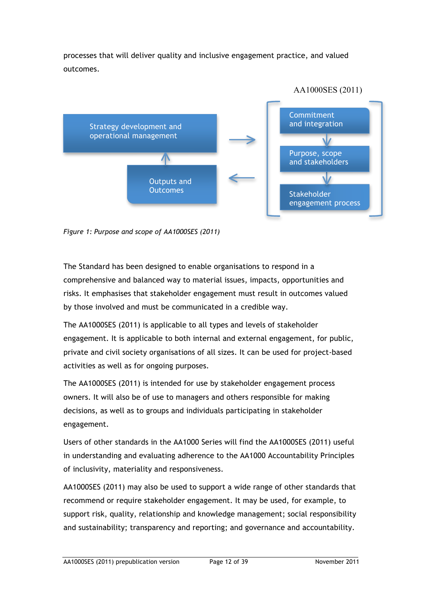processes that will deliver quality and inclusive engagement practice, and valued outcomes.



*Figure 1: Purpose and scope of AA1000SES (2011)*

The Standard has been designed to enable organisations to respond in a comprehensive and balanced way to material issues, impacts, opportunities and risks. It emphasises that stakeholder engagement must result in outcomes valued by those involved and must be communicated in a credible way.

The AA1000SES (2011) is applicable to all types and levels of stakeholder engagement. It is applicable to both internal and external engagement, for public, private and civil society organisations of all sizes. It can be used for project-based activities as well as for ongoing purposes.

The AA1000SES (2011) is intended for use by stakeholder engagement process owners. It will also be of use to managers and others responsible for making decisions, as well as to groups and individuals participating in stakeholder engagement.

Users of other standards in the AA1000 Series will find the AA1000SES (2011) useful in understanding and evaluating adherence to the AA1000 Accountability Principles of inclusivity, materiality and responsiveness.

AA1000SES (2011) may also be used to support a wide range of other standards that recommend or require stakeholder engagement. It may be used, for example, to support risk, quality, relationship and knowledge management; social responsibility and sustainability; transparency and reporting; and governance and accountability.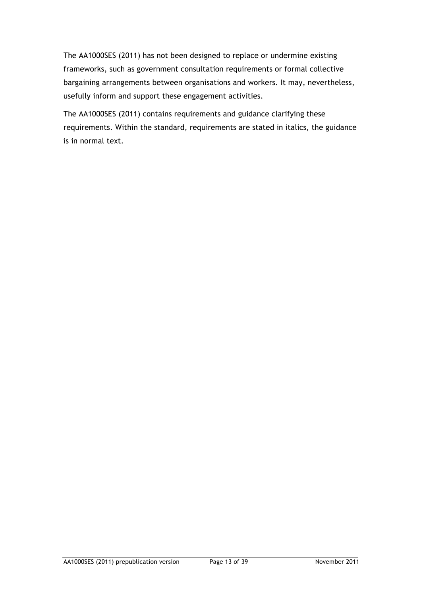The AA1000SES (2011) has not been designed to replace or undermine existing frameworks, such as government consultation requirements or formal collective bargaining arrangements between organisations and workers. It may, nevertheless, usefully inform and support these engagement activities.

The AA1000SES (2011) contains requirements and guidance clarifying these requirements. Within the standard, requirements are stated in italics, the guidance is in normal text.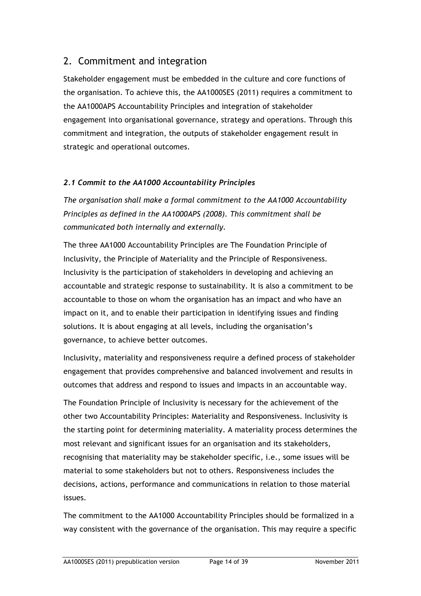# 2. Commitment and integration

Stakeholder engagement must be embedded in the culture and core functions of the organisation. To achieve this, the AA1000SES (2011) requires a commitment to the AA1000APS Accountability Principles and integration of stakeholder engagement into organisational governance, strategy and operations. Through this commitment and integration, the outputs of stakeholder engagement result in strategic and operational outcomes.

# *2.1 Commit to the AA1000 Accountability Principles*

*The organisation shall make a formal commitment to the AA1000 Accountability Principles as defined in the AA1000APS (2008). This commitment shall be communicated both internally and externally.*

The three AA1000 Accountability Principles are The Foundation Principle of Inclusivity, the Principle of Materiality and the Principle of Responsiveness. Inclusivity is the participation of stakeholders in developing and achieving an accountable and strategic response to sustainability. It is also a commitment to be accountable to those on whom the organisation has an impact and who have an impact on it, and to enable their participation in identifying issues and finding solutions. It is about engaging at all levels, including the organisation's governance, to achieve better outcomes.

Inclusivity, materiality and responsiveness require a defined process of stakeholder engagement that provides comprehensive and balanced involvement and results in outcomes that address and respond to issues and impacts in an accountable way.

The Foundation Principle of Inclusivity is necessary for the achievement of the other two Accountability Principles: Materiality and Responsiveness. Inclusivity is the starting point for determining materiality. A materiality process determines the most relevant and significant issues for an organisation and its stakeholders, recognising that materiality may be stakeholder specific, i.e., some issues will be material to some stakeholders but not to others. Responsiveness includes the decisions, actions, performance and communications in relation to those material issues.

The commitment to the AA1000 Accountability Principles should be formalized in a way consistent with the governance of the organisation. This may require a specific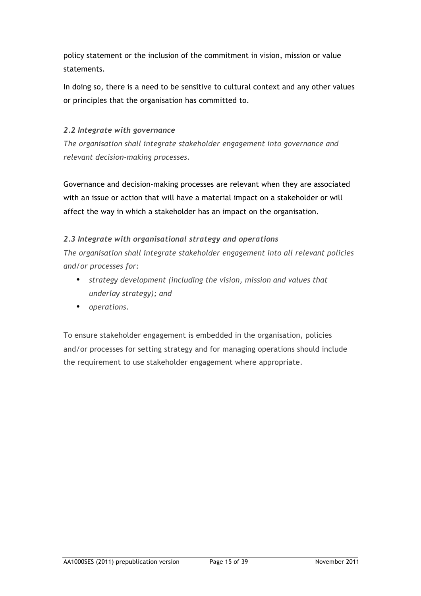policy statement or the inclusion of the commitment in vision, mission or value statements.

In doing so, there is a need to be sensitive to cultural context and any other values or principles that the organisation has committed to.

# *2.2 Integrate with governance*

*The organisation shall integrate stakeholder engagement into governance and relevant decision-making processes.* 

Governance and decision-making processes are relevant when they are associated with an issue or action that will have a material impact on a stakeholder or will affect the way in which a stakeholder has an impact on the organisation.

# *2.3 Integrate with organisational strategy and operations*

*The organisation shall integrate stakeholder engagement into all relevant policies and/or processes for:*

- *strategy development (including the vision, mission and values that underlay strategy); and*
- *operations.*

To ensure stakeholder engagement is embedded in the organisation, policies and/or processes for setting strategy and for managing operations should include the requirement to use stakeholder engagement where appropriate.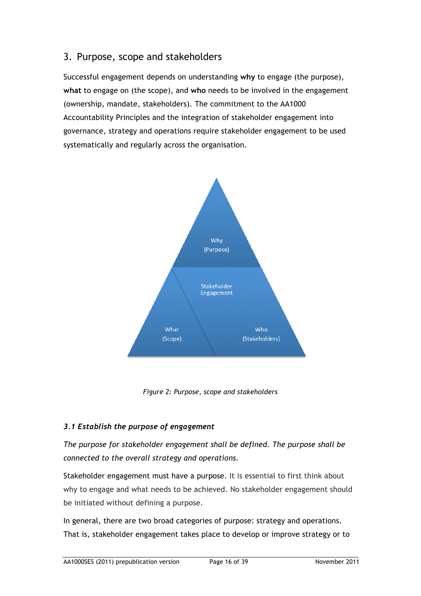# 3.Purpose, scope and stakeholders

Successful engagement depends on understanding **why** to engage (the purpose), **what** to engage on (the scope), and **who** needs to be involved in the engagement (ownership, mandate, stakeholders). The commitment to the AA1000 Accountability Principles and the integration of stakeholder engagement into governance, strategy and operations require stakeholder engagement to be used systematically and regularly across the organisation.



*Figure 2: Purpose, scope and stakeholders*

# *3.1 Establish the purpose of engagement*

*The purpose for stakeholder engagement shall be defined. The purpose shall be connected to the overall strategy and operations.*

Stakeholder engagement must have a purpose. It is essential to first think about why to engage and what needs to be achieved. No stakeholder engagement should be initiated without defining a purpose.

In general, there are two broad categories of purpose: strategy and operations. That is, stakeholder engagement takes place to develop or improve strategy or to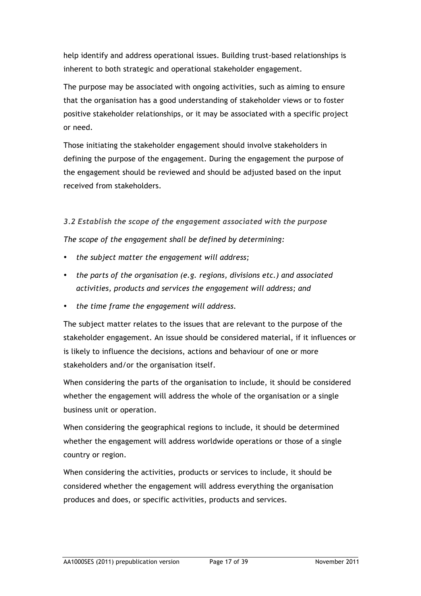help identify and address operational issues. Building trust-based relationships is inherent to both strategic and operational stakeholder engagement.

The purpose may be associated with ongoing activities, such as aiming to ensure that the organisation has a good understanding of stakeholder views or to foster positive stakeholder relationships, or it may be associated with a specific project or need.

Those initiating the stakeholder engagement should involve stakeholders in defining the purpose of the engagement. During the engagement the purpose of the engagement should be reviewed and should be adjusted based on the input received from stakeholders.

*3.2 Establish the scope of the engagement associated with the purpose*

*The scope of the engagement shall be defined by determining:* 

- *the subject matter the engagement will address;*
- *the parts of the organisation (e.g. regions, divisions etc.) and associated activities, products and services the engagement will address; and*
- *the time frame the engagement will address.*

The subject matter relates to the issues that are relevant to the purpose of the stakeholder engagement. An issue should be considered material, if it influences or is likely to influence the decisions, actions and behaviour of one or more stakeholders and/or the organisation itself.

When considering the parts of the organisation to include, it should be considered whether the engagement will address the whole of the organisation or a single business unit or operation.

When considering the geographical regions to include, it should be determined whether the engagement will address worldwide operations or those of a single country or region.

When considering the activities, products or services to include, it should be considered whether the engagement will address everything the organisation produces and does, or specific activities, products and services.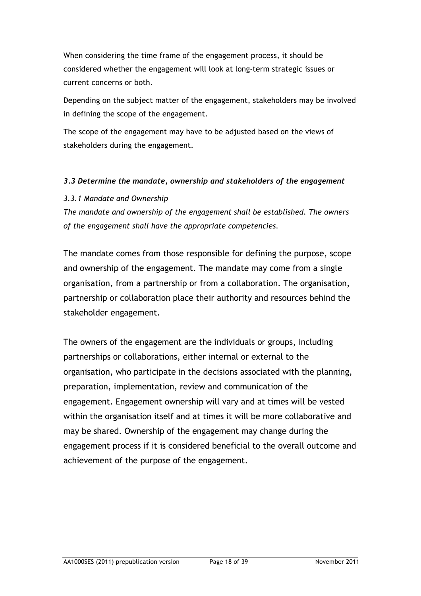When considering the time frame of the engagement process, it should be considered whether the engagement will look at long-term strategic issues or current concerns or both.

Depending on the subject matter of the engagement, stakeholders may be involved in defining the scope of the engagement.

The scope of the engagement may have to be adjusted based on the views of stakeholders during the engagement.

# *3.3 Determine the mandate, ownership and stakeholders of the engagement*

# *3.3.1 Mandate and Ownership*

*The mandate and ownership of the engagement shall be established. The owners of the engagement shall have the appropriate competencies.*

The mandate comes from those responsible for defining the purpose, scope and ownership of the engagement. The mandate may come from a single organisation, from a partnership or from a collaboration. The organisation, partnership or collaboration place their authority and resources behind the stakeholder engagement.

The owners of the engagement are the individuals or groups, including partnerships or collaborations, either internal or external to the organisation, who participate in the decisions associated with the planning, preparation, implementation, review and communication of the engagement. Engagement ownership will vary and at times will be vested within the organisation itself and at times it will be more collaborative and may be shared. Ownership of the engagement may change during the engagement process if it is considered beneficial to the overall outcome and achievement of the purpose of the engagement.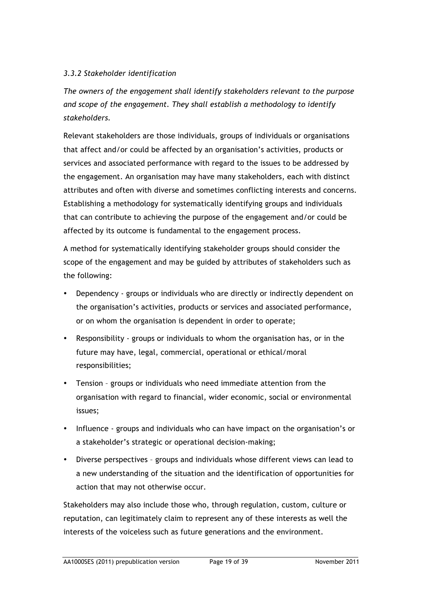# *3.3.2 Stakeholder identification*

*The owners of the engagement shall identify stakeholders relevant to the purpose and scope of the engagement. They shall establish a methodology to identify stakeholders.*

Relevant stakeholders are those individuals, groups of individuals or organisations that affect and/or could be affected by an organisation's activities, products or services and associated performance with regard to the issues to be addressed by the engagement. An organisation may have many stakeholders, each with distinct attributes and often with diverse and sometimes conflicting interests and concerns. Establishing a methodology for systematically identifying groups and individuals that can contribute to achieving the purpose of the engagement and/or could be affected by its outcome is fundamental to the engagement process.

A method for systematically identifying stakeholder groups should consider the scope of the engagement and may be guided by attributes of stakeholders such as the following:

- Dependency groups or individuals who are directly or indirectly dependent on the organisation's activities, products or services and associated performance, or on whom the organisation is dependent in order to operate;
- Responsibility groups or individuals to whom the organisation has, or in the future may have, legal, commercial, operational or ethical/moral responsibilities;
- Tension groups or individuals who need immediate attention from the organisation with regard to financial, wider economic, social or environmental issues;
- Influence groups and individuals who can have impact on the organisation's or a stakeholder's strategic or operational decision-making;
- Diverse perspectives groups and individuals whose different views can lead to a new understanding of the situation and the identification of opportunities for action that may not otherwise occur.

Stakeholders may also include those who, through regulation, custom, culture or reputation, can legitimately claim to represent any of these interests as well the interests of the voiceless such as future generations and the environment.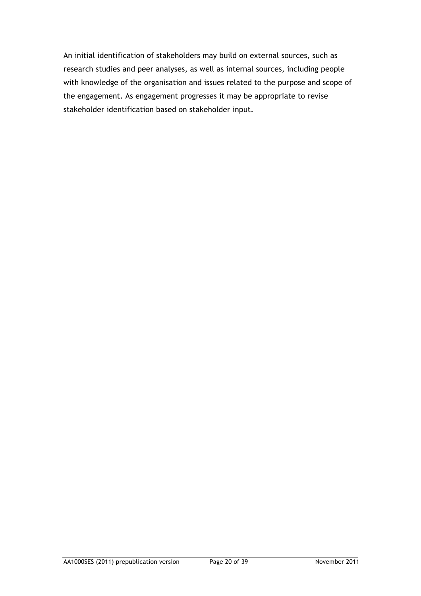An initial identification of stakeholders may build on external sources, such as research studies and peer analyses, as well as internal sources, including people with knowledge of the organisation and issues related to the purpose and scope of the engagement. As engagement progresses it may be appropriate to revise stakeholder identification based on stakeholder input.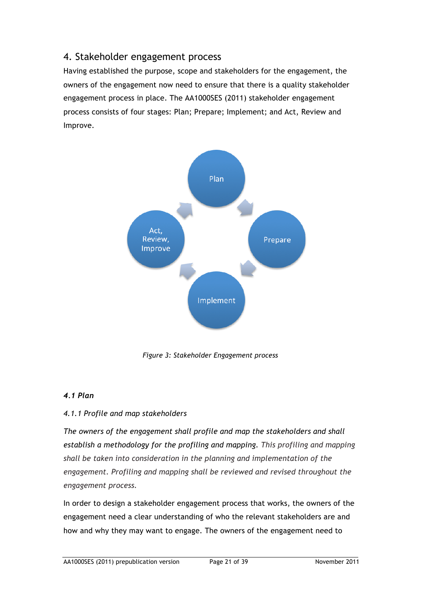# 4. Stakeholder engagement process

Having established the purpose, scope and stakeholders for the engagement, the owners of the engagement now need to ensure that there is a quality stakeholder engagement process in place. The AA1000SES (2011) stakeholder engagement process consists of four stages: Plan; Prepare; Implement; and Act, Review and Improve.



*Figure 3: Stakeholder Engagement process*

# *4.1 Plan*

# *4.1.1 Profile and map stakeholders*

*The owners of the engagement shall profile and map the stakeholders and shall establish a methodology for the profiling and mapping. This profiling and mapping shall be taken into consideration in the planning and implementation of the engagement. Profiling and mapping shall be reviewed and revised throughout the engagement process.*

In order to design a stakeholder engagement process that works, the owners of the engagement need a clear understanding of who the relevant stakeholders are and how and why they may want to engage. The owners of the engagement need to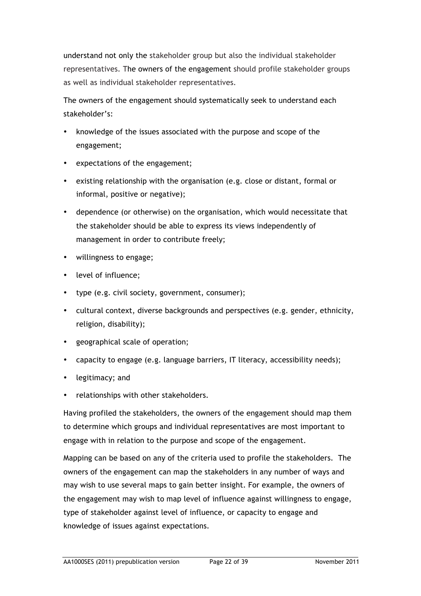understand not only the stakeholder group but also the individual stakeholder representatives. The owners of the engagement should profile stakeholder groups as well as individual stakeholder representatives.

The owners of the engagement should systematically seek to understand each stakeholder's:

- knowledge of the issues associated with the purpose and scope of the engagement;
- expectations of the engagement;
- existing relationship with the organisation (e.g. close or distant, formal or informal, positive or negative);
- dependence (or otherwise) on the organisation, which would necessitate that the stakeholder should be able to express its views independently of management in order to contribute freely;
- willingness to engage;
- level of influence;
- type (e.g. civil society, government, consumer);
- cultural context, diverse backgrounds and perspectives (e.g. gender, ethnicity, religion, disability);
- geographical scale of operation;
- capacity to engage (e.g. language barriers, IT literacy, accessibility needs);
- legitimacy; and
- relationships with other stakeholders.

Having profiled the stakeholders, the owners of the engagement should map them to determine which groups and individual representatives are most important to engage with in relation to the purpose and scope of the engagement.

Mapping can be based on any of the criteria used to profile the stakeholders. The owners of the engagement can map the stakeholders in any number of ways and may wish to use several maps to gain better insight. For example, the owners of the engagement may wish to map level of influence against willingness to engage, type of stakeholder against level of influence, or capacity to engage and knowledge of issues against expectations.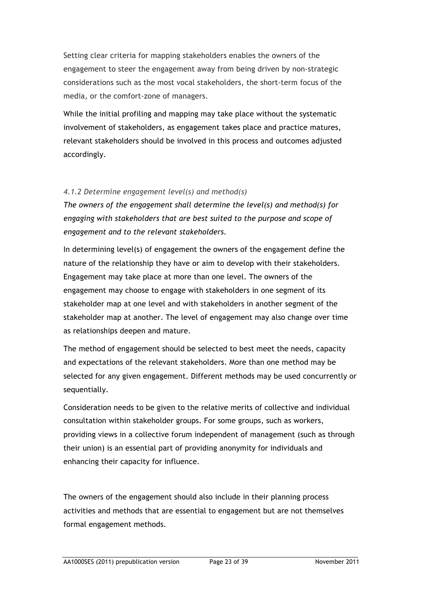Setting clear criteria for mapping stakeholders enables the owners of the engagement to steer the engagement away from being driven by non-strategic considerations such as the most vocal stakeholders, the short-term focus of the media, or the comfort-zone of managers.

While the initial profiling and mapping may take place without the systematic involvement of stakeholders, as engagement takes place and practice matures, relevant stakeholders should be involved in this process and outcomes adjusted accordingly.

# *4.1.2 Determine engagement level(s) and method(s)*

*The owners of the engagement shall determine the level(s) and method(s) for engaging with stakeholders that are best suited to the purpose and scope of engagement and to the relevant stakeholders.* 

In determining level(s) of engagement the owners of the engagement define the nature of the relationship they have or aim to develop with their stakeholders. Engagement may take place at more than one level. The owners of the engagement may choose to engage with stakeholders in one segment of its stakeholder map at one level and with stakeholders in another segment of the stakeholder map at another. The level of engagement may also change over time as relationships deepen and mature.

The method of engagement should be selected to best meet the needs, capacity and expectations of the relevant stakeholders. More than one method may be selected for any given engagement. Different methods may be used concurrently or sequentially.

Consideration needs to be given to the relative merits of collective and individual consultation within stakeholder groups. For some groups, such as workers, providing views in a collective forum independent of management (such as through their union) is an essential part of providing anonymity for individuals and enhancing their capacity for influence.

The owners of the engagement should also include in their planning process activities and methods that are essential to engagement but are not themselves formal engagement methods.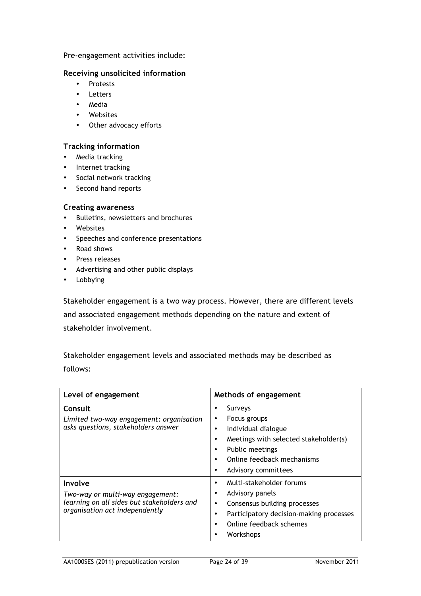#### Pre-engagement activities include:

#### **Receiving unsolicited information**

- Protests
- Letters
- Media
- Websites
- Other advocacy efforts

#### **Tracking information**

- Media tracking
- Internet tracking
- Social network tracking
- Second hand reports

#### **Creating awareness**

- Bulletins, newsletters and brochures
- Websites
- Speeches and conference presentations
- Road shows
- Press releases
- Advertising and other public displays
- Lobbying

Stakeholder engagement is a two way process. However, there are different levels and associated engagement methods depending on the nature and extent of stakeholder involvement.

Stakeholder engagement levels and associated methods may be described as follows:

| Level of engagement                                                                                                         | Methods of engagement                                                                                                                                                                                                             |
|-----------------------------------------------------------------------------------------------------------------------------|-----------------------------------------------------------------------------------------------------------------------------------------------------------------------------------------------------------------------------------|
| Consult<br>Limited two-way engagement: organisation<br>asks questions, stakeholders answer                                  | Surveys<br>٠<br>Focus groups<br>٠<br>Individual dialogue<br>٠<br>Meetings with selected stakeholder(s)<br>٠<br><b>Public meetings</b><br>$\bullet$<br>Online feedback mechanisms<br>$\bullet$<br>Advisory committees<br>$\bullet$ |
| Involve<br>Two-way or multi-way engagement:<br>learning on all sides but stakeholders and<br>organisation act independently | Multi-stakeholder forums<br>٠<br>Advisory panels<br>Consensus building processes<br>$\bullet$<br>Participatory decision-making processes<br>٠<br>Online feedback schemes<br>٠<br>Workshops                                        |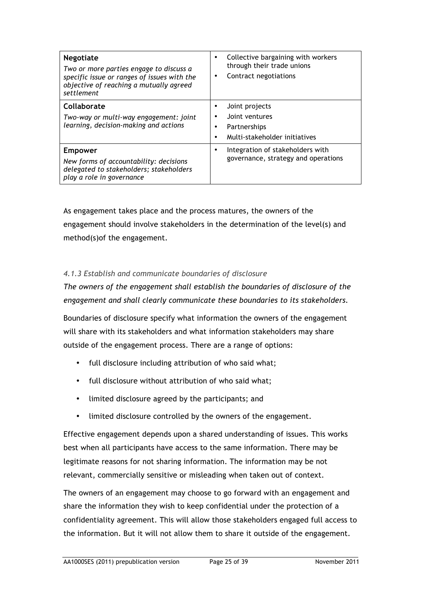| <b>Negotiate</b><br>Two or more parties engage to discuss a<br>specific issue or ranges of issues with the<br>objective of reaching a mutually agreed<br>settlement | Collective bargaining with workers<br>٠<br>through their trade unions<br>Contract negotiations<br>$\bullet$ |
|---------------------------------------------------------------------------------------------------------------------------------------------------------------------|-------------------------------------------------------------------------------------------------------------|
| Collaborate<br>Two-way or multi-way engagement: joint<br>learning, decision-making and actions                                                                      | Joint projects<br>Joint ventures<br>Partnerships<br>Multi-stakeholder initiatives                           |
| <b>Empower</b><br>New forms of accountability: decisions<br>delegated to stakeholders; stakeholders<br>play a role in governance                                    | Integration of stakeholders with<br>governance, strategy and operations                                     |

As engagement takes place and the process matures, the owners of the engagement should involve stakeholders in the determination of the level(s) and method(s)of the engagement.

# *4.1.3 Establish and communicate boundaries of disclosure*

*The owners of the engagement shall establish the boundaries of disclosure of the engagement and shall clearly communicate these boundaries to its stakeholders.* 

Boundaries of disclosure specify what information the owners of the engagement will share with its stakeholders and what information stakeholders may share outside of the engagement process. There are a range of options:

- full disclosure including attribution of who said what;
- full disclosure without attribution of who said what;
- limited disclosure agreed by the participants; and
- limited disclosure controlled by the owners of the engagement.

Effective engagement depends upon a shared understanding of issues. This works best when all participants have access to the same information. There may be legitimate reasons for not sharing information. The information may be not relevant, commercially sensitive or misleading when taken out of context.

The owners of an engagement may choose to go forward with an engagement and share the information they wish to keep confidential under the protection of a confidentiality agreement. This will allow those stakeholders engaged full access to the information. But it will not allow them to share it outside of the engagement.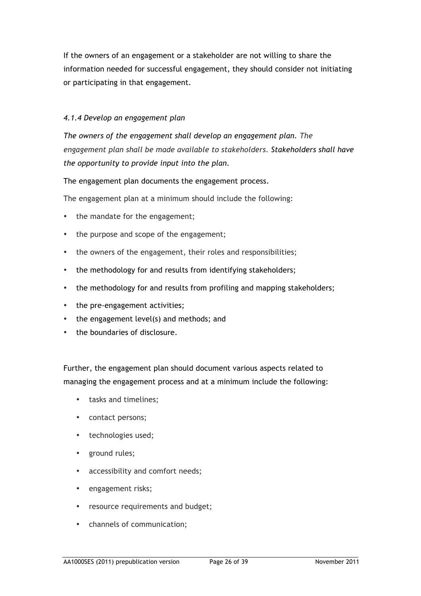If the owners of an engagement or a stakeholder are not willing to share the information needed for successful engagement, they should consider not initiating or participating in that engagement.

# *4.1.4 Develop an engagement plan*

*The owners of the engagement shall develop an engagement plan. The engagement plan shall be made available to stakeholders. Stakeholders shall have the opportunity to provide input into the plan.* 

The engagement plan documents the engagement process.

The engagement plan at a minimum should include the following:

- the mandate for the engagement;
- the purpose and scope of the engagement;
- the owners of the engagement, their roles and responsibilities;
- the methodology for and results from identifying stakeholders;
- the methodology for and results from profiling and mapping stakeholders;
- the pre-engagement activities;
- the engagement level(s) and methods; and
- the boundaries of disclosure.

Further, the engagement plan should document various aspects related to managing the engagement process and at a minimum include the following:

- tasks and timelines;
- contact persons;
- technologies used;
- ground rules;
- accessibility and comfort needs:
- engagement risks;
- resource requirements and budget;
- channels of communication;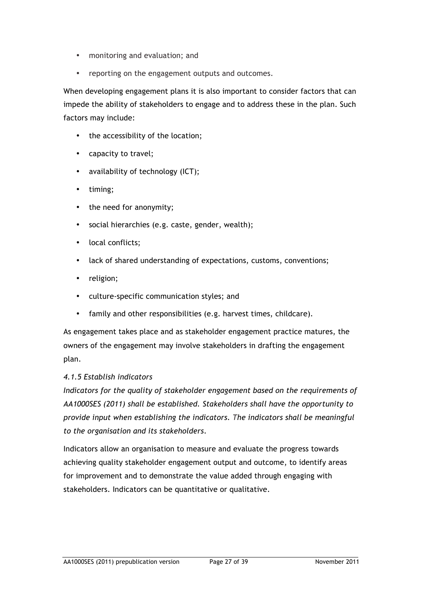- monitoring and evaluation; and
- reporting on the engagement outputs and outcomes.

When developing engagement plans it is also important to consider factors that can impede the ability of stakeholders to engage and to address these in the plan. Such factors may include:

- the accessibility of the location;
- capacity to travel;
- availability of technology (ICT);
- timing;
- the need for anonymity;
- social hierarchies (e.g. caste, gender, wealth);
- local conflicts;
- lack of shared understanding of expectations, customs, conventions;
- religion;
- culture-specific communication styles; and
- family and other responsibilities (e.g. harvest times, childcare).

As engagement takes place and as stakeholder engagement practice matures, the owners of the engagement may involve stakeholders in drafting the engagement plan.

# *4.1.5 Establish indicators*

*Indicators for the quality of stakeholder engagement based on the requirements of AA1000SES (2011) shall be established. Stakeholders shall have the opportunity to provide input when establishing the indicators. The indicators shall be meaningful to the organisation and its stakeholders*.

Indicators allow an organisation to measure and evaluate the progress towards achieving quality stakeholder engagement output and outcome, to identify areas for improvement and to demonstrate the value added through engaging with stakeholders. Indicators can be quantitative or qualitative.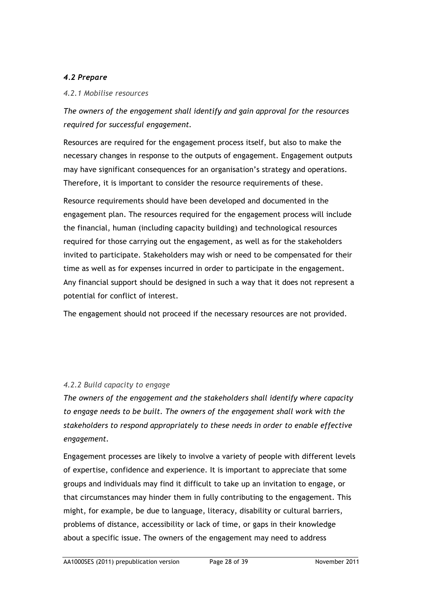# *4.2 Prepare*

#### *4.2.1 Mobilise resources*

*The owners of the engagement shall identify and gain approval for the resources required for successful engagement.* 

Resources are required for the engagement process itself, but also to make the necessary changes in response to the outputs of engagement. Engagement outputs may have significant consequences for an organisation's strategy and operations. Therefore, it is important to consider the resource requirements of these.

Resource requirements should have been developed and documented in the engagement plan. The resources required for the engagement process will include the financial, human (including capacity building) and technological resources required for those carrying out the engagement, as well as for the stakeholders invited to participate. Stakeholders may wish or need to be compensated for their time as well as for expenses incurred in order to participate in the engagement. Any financial support should be designed in such a way that it does not represent a potential for conflict of interest.

The engagement should not proceed if the necessary resources are not provided.

# *4.2.2 Build capacity to engage*

*The owners of the engagement and the stakeholders shall identify where capacity to engage needs to be built. The owners of the engagement shall work with the stakeholders to respond appropriately to these needs in order to enable effective engagement.* 

Engagement processes are likely to involve a variety of people with different levels of expertise, confidence and experience. It is important to appreciate that some groups and individuals may find it difficult to take up an invitation to engage, or that circumstances may hinder them in fully contributing to the engagement. This might, for example, be due to language, literacy, disability or cultural barriers, problems of distance, accessibility or lack of time, or gaps in their knowledge about a specific issue. The owners of the engagement may need to address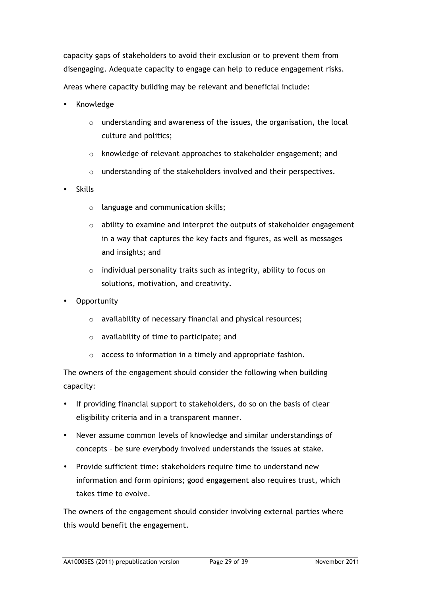capacity gaps of stakeholders to avoid their exclusion or to prevent them from disengaging. Adequate capacity to engage can help to reduce engagement risks. Areas where capacity building may be relevant and beneficial include:

- Knowledge
	- o understanding and awareness of the issues, the organisation, the local culture and politics;
	- o knowledge of relevant approaches to stakeholder engagement; and
	- o understanding of the stakeholders involved and their perspectives.
- Skills
	- o language and communication skills;
	- o ability to examine and interpret the outputs of stakeholder engagement in a way that captures the key facts and figures, as well as messages and insights; and
	- o individual personality traits such as integrity, ability to focus on solutions, motivation, and creativity.
- **Opportunity** 
	- o availability of necessary financial and physical resources;
	- o availability of time to participate; and
	- o access to information in a timely and appropriate fashion.

The owners of the engagement should consider the following when building capacity:

- If providing financial support to stakeholders, do so on the basis of clear eligibility criteria and in a transparent manner.
- Never assume common levels of knowledge and similar understandings of concepts – be sure everybody involved understands the issues at stake.
- Provide sufficient time: stakeholders require time to understand new information and form opinions; good engagement also requires trust, which takes time to evolve.

The owners of the engagement should consider involving external parties where this would benefit the engagement.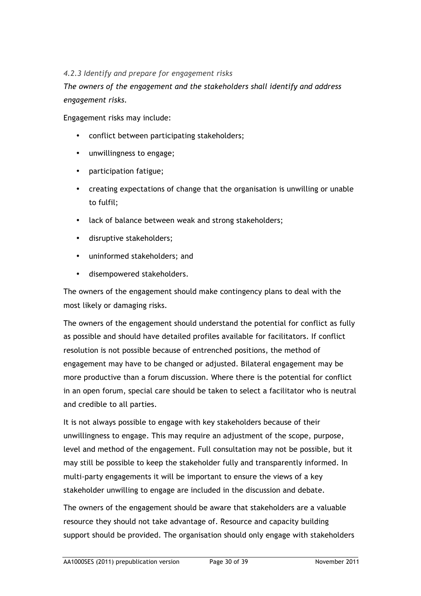# *4.2.3 Identify and prepare for engagement risks*

*The owners of the engagement and the stakeholders shall identify and address engagement risks.* 

Engagement risks may include:

- conflict between participating stakeholders;
- unwillingness to engage;
- participation fatigue;
- creating expectations of change that the organisation is unwilling or unable to fulfil;
- lack of balance between weak and strong stakeholders;
- disruptive stakeholders;
- uninformed stakeholders; and
- disempowered stakeholders.

The owners of the engagement should make contingency plans to deal with the most likely or damaging risks.

The owners of the engagement should understand the potential for conflict as fully as possible and should have detailed profiles available for facilitators. If conflict resolution is not possible because of entrenched positions, the method of engagement may have to be changed or adjusted. Bilateral engagement may be more productive than a forum discussion. Where there is the potential for conflict in an open forum, special care should be taken to select a facilitator who is neutral and credible to all parties.

It is not always possible to engage with key stakeholders because of their unwillingness to engage. This may require an adjustment of the scope, purpose, level and method of the engagement. Full consultation may not be possible, but it may still be possible to keep the stakeholder fully and transparently informed. In multi-party engagements it will be important to ensure the views of a key stakeholder unwilling to engage are included in the discussion and debate.

The owners of the engagement should be aware that stakeholders are a valuable resource they should not take advantage of. Resource and capacity building support should be provided. The organisation should only engage with stakeholders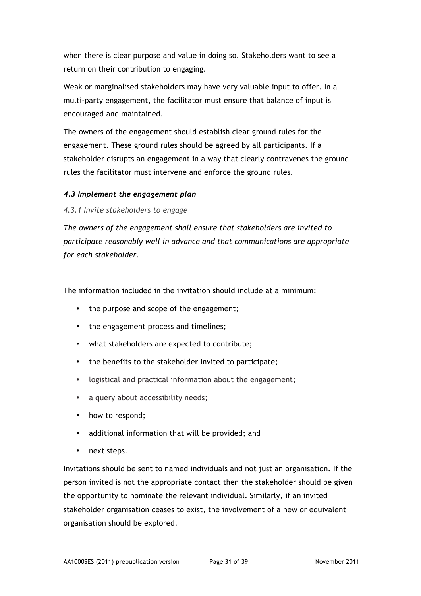when there is clear purpose and value in doing so. Stakeholders want to see a return on their contribution to engaging.

Weak or marginalised stakeholders may have very valuable input to offer. In a multi-party engagement, the facilitator must ensure that balance of input is encouraged and maintained.

The owners of the engagement should establish clear ground rules for the engagement. These ground rules should be agreed by all participants. If a stakeholder disrupts an engagement in a way that clearly contravenes the ground rules the facilitator must intervene and enforce the ground rules.

# *4.3 Implement the engagement plan*

#### *4.3.1 Invite stakeholders to engage*

*The owners of the engagement shall ensure that stakeholders are invited to participate reasonably well in advance and that communications are appropriate for each stakeholder.* 

The information included in the invitation should include at a minimum:

- the purpose and scope of the engagement;
- the engagement process and timelines;
- what stakeholders are expected to contribute;
- the benefits to the stakeholder invited to participate;
- logistical and practical information about the engagement;
- a query about accessibility needs;
- how to respond;
- additional information that will be provided; and
- next steps.

Invitations should be sent to named individuals and not just an organisation. If the person invited is not the appropriate contact then the stakeholder should be given the opportunity to nominate the relevant individual. Similarly, if an invited stakeholder organisation ceases to exist, the involvement of a new or equivalent organisation should be explored.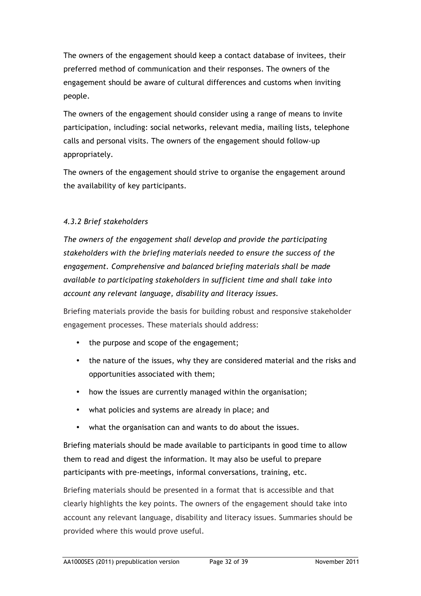The owners of the engagement should keep a contact database of invitees, their preferred method of communication and their responses. The owners of the engagement should be aware of cultural differences and customs when inviting people.

The owners of the engagement should consider using a range of means to invite participation, including: social networks, relevant media, mailing lists, telephone calls and personal visits. The owners of the engagement should follow-up appropriately.

The owners of the engagement should strive to organise the engagement around the availability of key participants.

# *4.3.2 Brief stakeholders*

*The owners of the engagement shall develop and provide the participating stakeholders with the briefing materials needed to ensure the success of the engagement. Comprehensive and balanced briefing materials shall be made available to participating stakeholders in sufficient time and shall take into account any relevant language, disability and literacy issues.* 

Briefing materials provide the basis for building robust and responsive stakeholder engagement processes. These materials should address:

- the purpose and scope of the engagement;
- the nature of the issues, why they are considered material and the risks and opportunities associated with them;
- how the issues are currently managed within the organisation;
- what policies and systems are already in place; and
- what the organisation can and wants to do about the issues.

Briefing materials should be made available to participants in good time to allow them to read and digest the information. It may also be useful to prepare participants with pre-meetings, informal conversations, training, etc.

Briefing materials should be presented in a format that is accessible and that clearly highlights the key points. The owners of the engagement should take into account any relevant language, disability and literacy issues. Summaries should be provided where this would prove useful.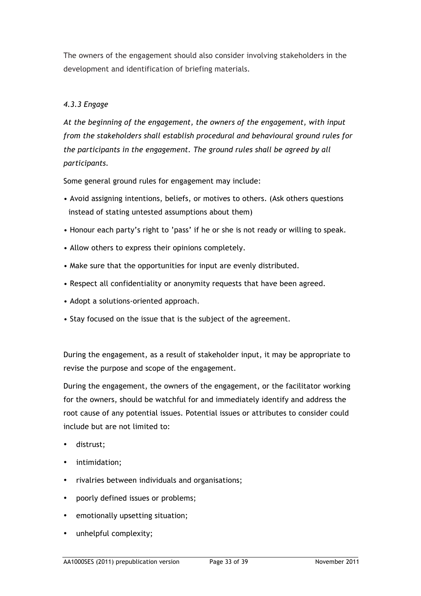The owners of the engagement should also consider involving stakeholders in the development and identification of briefing materials.

# *4.3.3 Engage*

*At the beginning of the engagement, the owners of the engagement, with input from the stakeholders shall establish procedural and behavioural ground rules for the participants in the engagement. The ground rules shall be agreed by all participants.* 

Some general ground rules for engagement may include:

- Avoid assigning intentions, beliefs, or motives to others. (Ask others questions instead of stating untested assumptions about them)
- Honour each party's right to 'pass' if he or she is not ready or willing to speak.
- Allow others to express their opinions completely.
- Make sure that the opportunities for input are evenly distributed.
- Respect all confidentiality or anonymity requests that have been agreed.
- Adopt a solutions-oriented approach.
- Stay focused on the issue that is the subject of the agreement.

During the engagement, as a result of stakeholder input, it may be appropriate to revise the purpose and scope of the engagement.

During the engagement, the owners of the engagement, or the facilitator working for the owners, should be watchful for and immediately identify and address the root cause of any potential issues. Potential issues or attributes to consider could include but are not limited to:

- distrust;
- intimidation;
- rivalries between individuals and organisations;
- poorly defined issues or problems;
- emotionally upsetting situation;
- unhelpful complexity;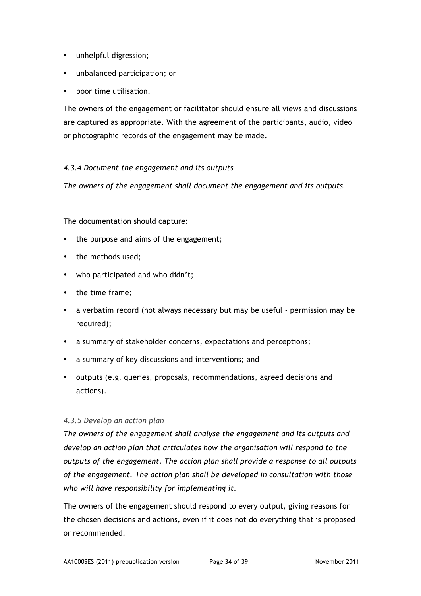- unhelpful digression;
- unbalanced participation; or
- poor time utilisation.

The owners of the engagement or facilitator should ensure all views and discussions are captured as appropriate. With the agreement of the participants, audio, video or photographic records of the engagement may be made.

# *4.3.4 Document the engagement and its outputs*

*The owners of the engagement shall document the engagement and its outputs.* 

#### The documentation should capture:

- the purpose and aims of the engagement;
- the methods used;
- who participated and who didn't;
- the time frame;
- a verbatim record (not always necessary but may be useful permission may be required);
- a summary of stakeholder concerns, expectations and perceptions;
- a summary of key discussions and interventions; and
- outputs (e.g. queries, proposals, recommendations, agreed decisions and actions).

#### *4.3.5 Develop an action plan*

*The owners of the engagement shall analyse the engagement and its outputs and develop an action plan that articulates how the organisation will respond to the outputs of the engagement. The action plan shall provide a response to all outputs of the engagement. The action plan shall be developed in consultation with those who will have responsibility for implementing it.*

The owners of the engagement should respond to every output, giving reasons for the chosen decisions and actions, even if it does not do everything that is proposed or recommended.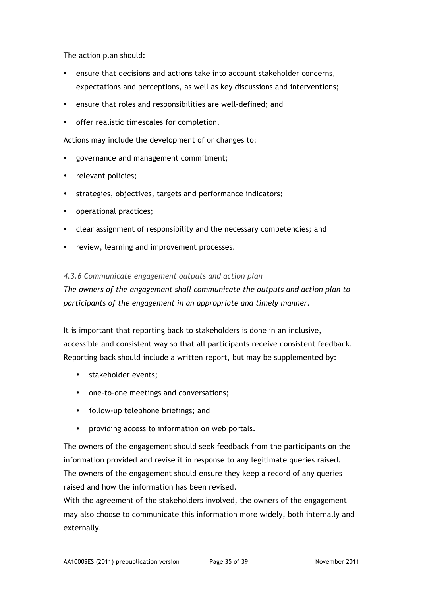The action plan should:

- ensure that decisions and actions take into account stakeholder concerns, expectations and perceptions, as well as key discussions and interventions;
- ensure that roles and responsibilities are well-defined; and
- offer realistic timescales for completion.

Actions may include the development of or changes to:

- governance and management commitment;
- relevant policies;
- strategies, objectives, targets and performance indicators;
- operational practices;
- clear assignment of responsibility and the necessary competencies; and
- review, learning and improvement processes.

#### *4.3.6 Communicate engagement outputs and action plan*

*The owners of the engagement shall communicate the outputs and action plan to participants of the engagement in an appropriate and timely manner.* 

It is important that reporting back to stakeholders is done in an inclusive, accessible and consistent way so that all participants receive consistent feedback. Reporting back should include a written report, but may be supplemented by:

- stakeholder events;
- one-to-one meetings and conversations;
- follow-up telephone briefings; and
- providing access to information on web portals.

The owners of the engagement should seek feedback from the participants on the information provided and revise it in response to any legitimate queries raised. The owners of the engagement should ensure they keep a record of any queries raised and how the information has been revised.

With the agreement of the stakeholders involved, the owners of the engagement may also choose to communicate this information more widely, both internally and externally.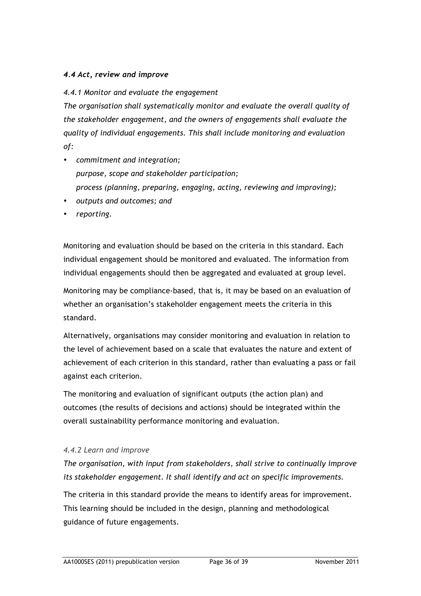# *4.4 Act, review and improve*

# *4.4.1 Monitor and evaluate the engagement*

*The organisation shall systematically monitor and evaluate the overall quality of the stakeholder engagement, and the owners of engagements shall evaluate the quality of individual engagements. This shall include monitoring and evaluation of:* 

- *commitment and integration; purpose, scope and stakeholder participation; process (planning, preparing, engaging, acting, reviewing and improving);*
- *outputs and outcomes; and*
- *reporting.*

Monitoring and evaluation should be based on the criteria in this standard. Each individual engagement should be monitored and evaluated. The information from individual engagements should then be aggregated and evaluated at group level.

Monitoring may be compliance-based, that is, it may be based on an evaluation of whether an organisation's stakeholder engagement meets the criteria in this standard.

Alternatively, organisations may consider monitoring and evaluation in relation to the level of achievement based on a scale that evaluates the nature and extent of achievement of each criterion in this standard, rather than evaluating a pass or fail against each criterion.

The monitoring and evaluation of significant outputs (the action plan) and outcomes (the results of decisions and actions) should be integrated within the overall sustainability performance monitoring and evaluation.

#### *4.4.2 Learn and improve*

*The organisation, with input from stakeholders, shall strive to continually improve its stakeholder engagement. It shall identify and act on specific improvements.* 

The criteria in this standard provide the means to identify areas for improvement. This learning should be included in the design, planning and methodological guidance of future engagements.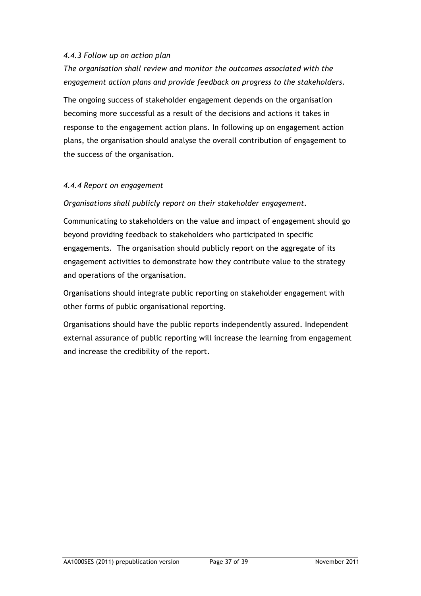#### *4.4.3 Follow up on action plan*

*The organisation shall review and monitor the outcomes associated with the engagement action plans and provide feedback on progress to the stakeholders.* 

The ongoing success of stakeholder engagement depends on the organisation becoming more successful as a result of the decisions and actions it takes in response to the engagement action plans. In following up on engagement action plans, the organisation should analyse the overall contribution of engagement to the success of the organisation.

#### *4.4.4 Report on engagement*

#### *Organisations shall publicly report on their stakeholder engagement.*

Communicating to stakeholders on the value and impact of engagement should go beyond providing feedback to stakeholders who participated in specific engagements. The organisation should publicly report on the aggregate of its engagement activities to demonstrate how they contribute value to the strategy and operations of the organisation.

Organisations should integrate public reporting on stakeholder engagement with other forms of public organisational reporting.

Organisations should have the public reports independently assured. Independent external assurance of public reporting will increase the learning from engagement and increase the credibility of the report.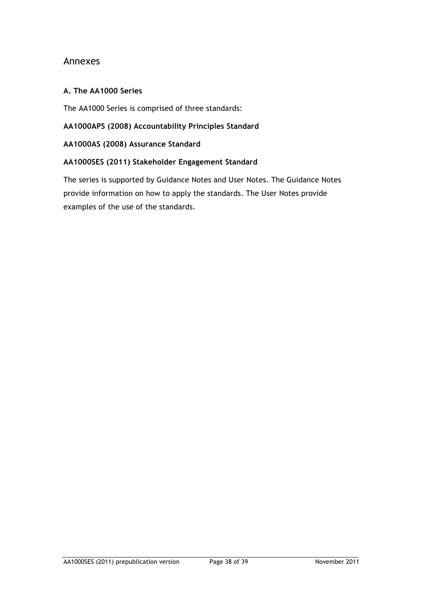# Annexes

#### **A. The AA1000 Series**

The AA1000 Series is comprised of three standards:

**AA1000APS (2008) Accountability Principles Standard**

**AA1000AS (2008) Assurance Standard**

#### **AA1000SES (2011) Stakeholder Engagement Standard**

The series is supported by Guidance Notes and User Notes. The Guidance Notes provide information on how to apply the standards. The User Notes provide examples of the use of the standards.